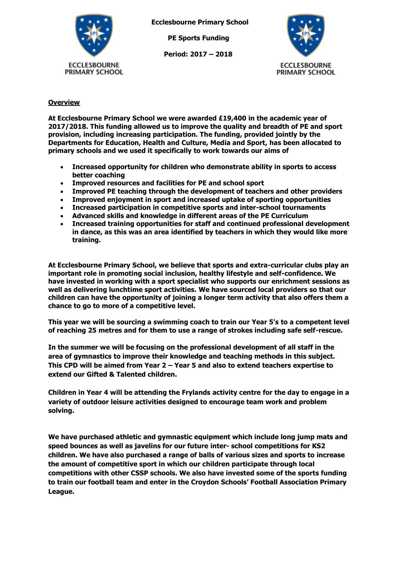

**Ecclesbourne Primary School**

 **PE Sports Funding**

 **Period: 2017 – 2018**



## **Overview**

**At Ecclesbourne Primary School we were awarded £19,400 in the academic year of 2017/2018. This funding allowed us to improve the quality and breadth of PE and sport provision, including increasing participation. The funding, provided jointly by the Departments for Education, Health and Culture, Media and Sport, has been allocated to primary schools and we used it specifically to work towards our aims of** 

- **Increased opportunity for children who demonstrate ability in sports to access better coaching**
- **Improved resources and facilities for PE and school sport**
- **Improved PE teaching through the development of teachers and other providers**
- **Improved enjoyment in sport and increased uptake of sporting opportunities**
- **Increased participation in competitive sports and inter-school tournaments**
- **Advanced skills and knowledge in different areas of the PE Curriculum**
- **Increased training opportunities for staff and continued professional development in dance, as this was an area identified by teachers in which they would like more training.**

**At Ecclesbourne Primary School, we believe that sports and extra-curricular clubs play an important role in promoting social inclusion, healthy lifestyle and self-confidence. We have invested in working with a sport specialist who supports our enrichment sessions as well as delivering lunchtime sport activities. We have sourced local providers so that our children can have the opportunity of joining a longer term activity that also offers them a chance to go to more of a competitive level.** 

**This year we will be sourcing a swimming coach to train our Year 5's to a competent level of reaching 25 metres and for them to use a range of strokes including safe self-rescue.** 

**In the summer we will be focusing on the professional development of all staff in the area of gymnastics to improve their knowledge and teaching methods in this subject. This CPD will be aimed from Year 2 – Year 5 and also to extend teachers expertise to extend our Gifted & Talented children.** 

**Children in Year 4 will be attending the Frylands activity centre for the day to engage in a variety of outdoor leisure activities designed to encourage team work and problem solving.**

**We have purchased athletic and gymnastic equipment which include long jump mats and speed bounces as well as javelins for our future inter- school competitions for KS2 children. We have also purchased a range of balls of various sizes and sports to increase the amount of competitive sport in which our children participate through local competitions with other CSSP schools. We also have invested some of the sports funding to train our football team and enter in the Croydon Schools' Football Association Primary League.**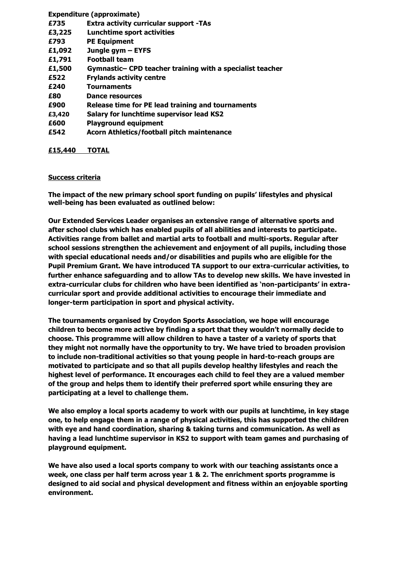|        | <b>Expenditure (approximate)</b>                          |
|--------|-----------------------------------------------------------|
| £735   | <b>Extra activity curricular support -TAs</b>             |
| £3,225 | Lunchtime sport activities                                |
| £793   | <b>PE Equipment</b>                                       |
| £1,092 | Jungle gym - EYFS                                         |
| £1,791 | <b>Football team</b>                                      |
| £1,500 | Gymnastic- CPD teacher training with a specialist teacher |
| £522   | <b>Frylands activity centre</b>                           |
| £240   | <b>Tournaments</b>                                        |
| £80    | Dance resources                                           |
| £900   | Release time for PE lead training and tournaments         |
| £3,420 | <b>Salary for lunchtime supervisor lead KS2</b>           |
| £600   | <b>Playground equipment</b>                               |
| £542   | <b>Acorn Athletics/football pitch maintenance</b>         |
|        |                                                           |

## **£15,440 TOTAL**

## **Success criteria**

**The impact of the new primary school sport funding on pupils' lifestyles and physical well-being has been evaluated as outlined below:**

**Our Extended Services Leader organises an extensive range of alternative sports and after school clubs which has enabled pupils of all abilities and interests to participate. Activities range from ballet and martial arts to football and multi-sports. Regular after school sessions strengthen the achievement and enjoyment of all pupils, including those with special educational needs and/or disabilities and pupils who are eligible for the Pupil Premium Grant. We have introduced TA support to our extra-curricular activities, to further enhance safeguarding and to allow TAs to develop new skills. We have invested in extra-curricular clubs for children who have been identified as 'non-participants' in extracurricular sport and provide additional activities to encourage their immediate and longer-term participation in sport and physical activity.**

**The tournaments organised by Croydon Sports Association, we hope will encourage children to become more active by finding a sport that they wouldn't normally decide to choose. This programme will allow children to have a taster of a variety of sports that they might not normally have the opportunity to try. We have tried to broaden provision to include non-traditional activities so that young people in hard-to-reach groups are motivated to participate and so that all pupils develop healthy lifestyles and reach the highest level of performance. It encourages each child to feel they are a valued member of the group and helps them to identify their preferred sport while ensuring they are participating at a level to challenge them.**

**We also employ a local sports academy to work with our pupils at lunchtime, in key stage one, to help engage them in a range of physical activities, this has supported the children with eye and hand coordination, sharing & taking turns and communication. As well as having a lead lunchtime supervisor in KS2 to support with team games and purchasing of playground equipment.**

**We have also used a local sports company to work with our teaching assistants once a week, one class per half term across year 1 & 2. The enrichment sports programme is designed to aid social and physical development and fitness within an enjoyable sporting environment.**